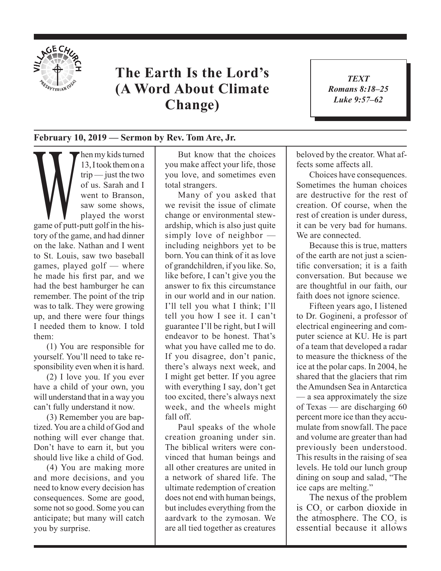

## **The Earth Is the Lord's (A Word About Climate Change)**

*TEXT Romans 8:18–25 Luke 9:57–62*

1

## **February 10, 2019 — Sermon by Rev. Tom Are, Jr.**

Men my kids turned<br>
trip — just the two<br>
of us. Sarah and I<br>
went to Branson,<br>
saw some shows,<br>
played the worst<br>
game of putt-putt golf in the his-13, I took them on a trip — just the two of us. Sarah and I went to Branson, saw some shows, played the worst tory of the game, and had dinner on the lake. Nathan and I went to St. Louis, saw two baseball games, played golf — where he made his first par, and we had the best hamburger he can remember. The point of the trip was to talk. They were growing up, and there were four things I needed them to know. I told them:

(1) You are responsible for yourself. You'll need to take responsibility even when it is hard.

(2) I love you. If you ever have a child of your own, you will understand that in a way you can't fully understand it now.

(3) Remember you are baptized. You are a child of God and nothing will ever change that. Don't have to earn it, but you should live like a child of God.

(4) You are making more and more decisions, and you need to know every decision has consequences. Some are good, some not so good. Some you can anticipate; but many will catch you by surprise.

But know that the choices you make affect your life, those you love, and sometimes even total strangers.

Many of you asked that we revisit the issue of climate change or environmental stewardship, which is also just quite simply love of neighbor including neighbors yet to be born. You can think of it as love of grandchildren, if you like. So, like before, I can't give you the answer to fix this circumstance in our world and in our nation. I'll tell you what I think; I'll tell you how I see it. I can't guarantee I'll be right, but I will endeavor to be honest. That's what you have called me to do. If you disagree, don't panic, there's always next week, and I might get better. If you agree with everything I say, don't get too excited, there's always next week, and the wheels might fall off.

Paul speaks of the whole creation groaning under sin. The biblical writers were convinced that human beings and all other creatures are united in a network of shared life. The ultimate redemption of creation does not end with human beings, but includes everything from the aardvark to the zymosan. We are all tied together as creatures beloved by the creator. What affects some affects all.

Choices have consequences. Sometimes the human choices are destructive for the rest of creation. Of course, when the rest of creation is under duress, it can be very bad for humans. We are connected.

Because this is true, matters of the earth are not just a scientific conversation; it is a faith conversation. But because we are thoughtful in our faith, our faith does not ignore science.

Fifteen years ago, I listened to Dr. Gogineni, a professor of electrical engineering and computer science at KU. He is part of a team that developed a radar to measure the thickness of the ice at the polar caps. In 2004, he shared that the glaciers that rim the Amundsen Sea in Antarctica — a sea approximately the size of Texas — are discharging 60 percent more ice than they accumulate from snowfall. The pace and volume are greater than had previously been understood. This results in the raising of sea levels. He told our lunch group dining on soup and salad, "The ice caps are melting."

The nexus of the problem is  $CO<sub>2</sub>$  or carbon dioxide in the atmosphere. The  $CO<sub>2</sub>$  is essential because it allows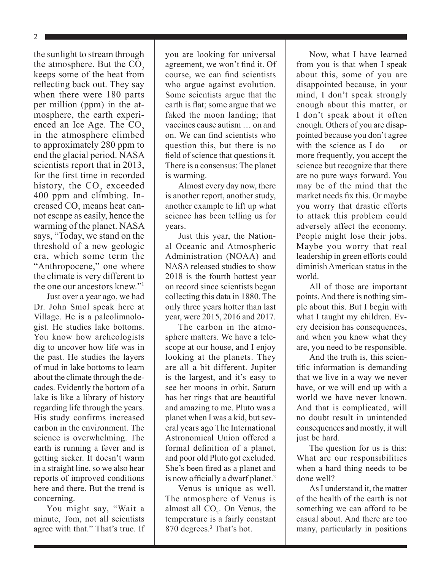$\mathcal{D}_{\mathcal{L}}$ 

the sunlight to stream through the atmosphere. But the  $CO<sub>2</sub>$ keeps some of the heat from reflecting back out. They say when there were 180 parts per million (ppm) in the atmosphere, the earth experienced an Ice Age. The  $CO<sub>2</sub>$ in the atmosphere climbed to approximately 280 ppm to end the glacial period. NASA scientists report that in 2013, for the first time in recorded history, the  $CO<sub>2</sub>$  exceeded 400 ppm and climbing. In $c$ reased  $CO<sub>2</sub>$  means heat cannot escape as easily, hence the warming of the planet. NASA says, "Today, we stand on the threshold of a new geologic era, which some term the "Anthropocene," one where the climate is very different to the one our ancestors knew."1

Just over a year ago, we had Dr. John Smol speak here at Village. He is a paleolimnologist. He studies lake bottoms. You know how archeologists dig to uncover how life was in the past. He studies the layers of mud in lake bottoms to learn about the climate through the decades. Evidently the bottom of a lake is like a library of history regarding life through the years. His study confirms increased carbon in the environment. The science is overwhelming. The earth is running a fever and is getting sicker. It doesn't warm in a straight line, so we also hear reports of improved conditions here and there. But the trend is concerning.

You might say, "Wait a minute, Tom, not all scientists agree with that." That's true. If you are looking for universal agreement, we won't find it. Of course, we can find scientists who argue against evolution. Some scientists argue that the earth is flat; some argue that we faked the moon landing; that vaccines cause autism … on and on. We can find scientists who question this, but there is no field of science that questions it. There is a consensus: The planet is warming.

Almost every day now, there is another report, another study, another example to lift up what science has been telling us for years.

Just this year, the National Oceanic and Atmospheric Administration (NOAA) and NASA released studies to show 2018 is the fourth hottest year on record since scientists began collecting this data in 1880. The only three years hotter than last year, were 2015, 2016 and 2017.

The carbon in the atmosphere matters. We have a telescope at our house, and I enjoy looking at the planets. They are all a bit different. Jupiter is the largest, and it's easy to see her moons in orbit. Saturn has her rings that are beautiful and amazing to me. Pluto was a planet when I was a kid, but several years ago The International Astronomical Union offered a formal definition of a planet, and poor old Pluto got excluded. She's been fired as a planet and is now officially a dwarf planet.<sup>2</sup>

Venus is unique as well. The atmosphere of Venus is almost all  $CO<sub>2</sub>$ . On Venus, the temperature is a fairly constant 870 degrees.<sup>3</sup> That's hot.

Now, what I have learned from you is that when I speak about this, some of you are disappointed because, in your mind, I don't speak strongly enough about this matter, or I don't speak about it often enough. Others of you are disappointed because you don't agree with the science as I do — or more frequently, you accept the science but recognize that there are no pure ways forward. You may be of the mind that the market needs fix this. Or maybe you worry that drastic efforts to attack this problem could adversely affect the economy. People might lose their jobs. Maybe you worry that real leadership in green efforts could diminish American status in the world.

All of those are important points. And there is nothing simple about this. But I begin with what I taught my children. Every decision has consequences, and when you know what they are, you need to be responsible.

And the truth is, this scientific information is demanding that we live in a way we never have, or we will end up with a world we have never known. And that is complicated, will no doubt result in unintended consequences and mostly, it will just be hard.

The question for us is this: What are our responsibilities when a hard thing needs to be done well?

As I understand it, the matter of the health of the earth is not something we can afford to be casual about. And there are too many, particularly in positions